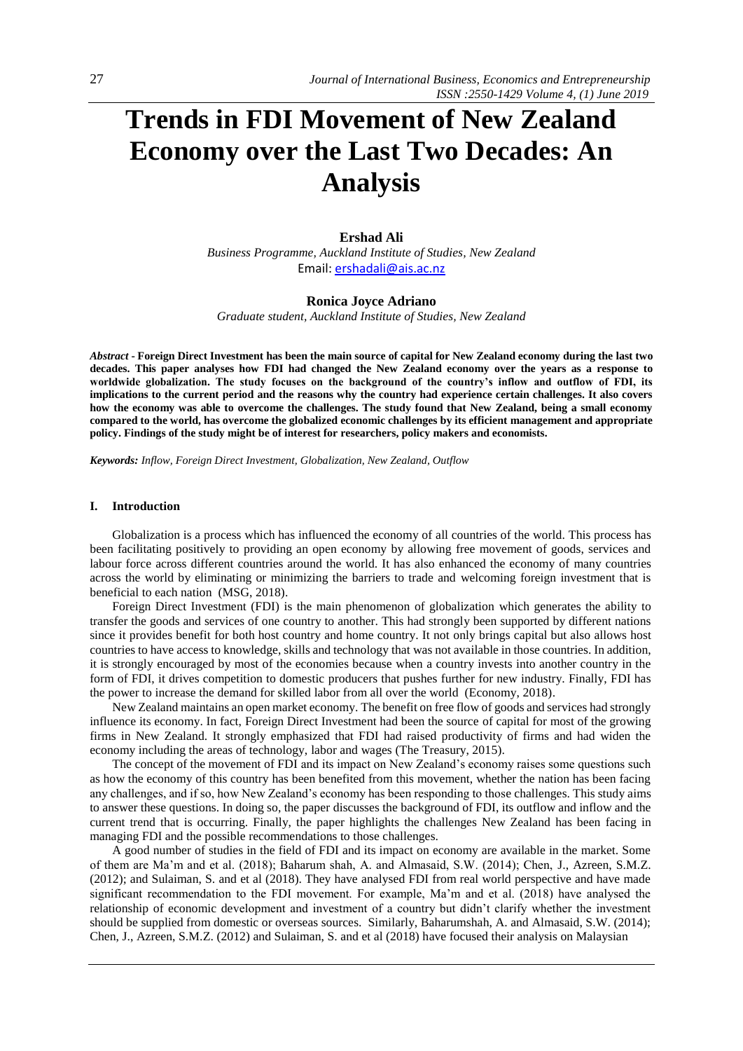# **Trends in FDI Movement of New Zealand Economy over the Last Two Decades: An Analysis**

## **Ershad Ali**

*Business Programme, Auckland Institute of Studies, New Zealand* Email[: ershadali@ais.ac.nz](mailto:ershadali@ais.ac.nz)

# **Ronica Joyce Adriano**

*Graduate student, Auckland Institute of Studies, New Zealand*

*Abstract* **- Foreign Direct Investment has been the main source of capital for New Zealand economy during the last two decades. This paper analyses how FDI had changed the New Zealand economy over the years as a response to worldwide globalization. The study focuses on the background of the country's inflow and outflow of FDI, its implications to the current period and the reasons why the country had experience certain challenges. It also covers how the economy was able to overcome the challenges. The study found that New Zealand, being a small economy compared to the world, has overcome the globalized economic challenges by its efficient management and appropriate policy. Findings of the study might be of interest for researchers, policy makers and economists***.*

*Keywords: Inflow, Foreign Direct Investment, Globalization, New Zealand, Outflow*

### **I. Introduction**

Globalization is a process which has influenced the economy of all countries of the world. This process has been facilitating positively to providing an open economy by allowing free movement of goods, services and labour force across different countries around the world. It has also enhanced the economy of many countries across the world by eliminating or minimizing the barriers to trade and welcoming foreign investment that is beneficial to each nation (MSG, 2018).

Foreign Direct Investment (FDI) is the main phenomenon of globalization which generates the ability to transfer the goods and services of one country to another. This had strongly been supported by different nations since it provides benefit for both host country and home country. It not only brings capital but also allows host countries to have access to knowledge, skills and technology that was not available in those countries. In addition, it is strongly encouraged by most of the economies because when a country invests into another country in the form of FDI, it drives competition to domestic producers that pushes further for new industry. Finally, FDI has the power to increase the demand for skilled labor from all over the world (Economy, 2018).

New Zealand maintains an open market economy. The benefit on free flow of goods and services had strongly influence its economy. In fact, Foreign Direct Investment had been the source of capital for most of the growing firms in New Zealand. It strongly emphasized that FDI had raised productivity of firms and had widen the economy including the areas of technology, labor and wages (The Treasury, 2015).

The concept of the movement of FDI and its impact on New Zealand's economy raises some questions such as how the economy of this country has been benefited from this movement, whether the nation has been facing any challenges, and if so, how New Zealand's economy has been responding to those challenges. This study aims to answer these questions. In doing so, the paper discusses the background of FDI, its outflow and inflow and the current trend that is occurring. Finally, the paper highlights the challenges New Zealand has been facing in managing FDI and the possible recommendations to those challenges.

A good number of studies in the field of FDI and its impact on economy are available in the market. Some of them are Ma'm and et al. (2018); Baharum shah, A. and Almasaid, S.W. (2014); Chen, J., Azreen, S.M.Z. (2012); and Sulaiman, S. and et al (2018). They have analysed FDI from real world perspective and have made significant recommendation to the FDI movement. For example, Ma'm and et al. (2018) have analysed the relationship of economic development and investment of a country but didn't clarify whether the investment should be supplied from domestic or overseas sources. Similarly, Baharumshah, A. and Almasaid, S.W. (2014); Chen, J., Azreen, S.M.Z. (2012) and Sulaiman, S. and et al (2018) have focused their analysis on Malaysian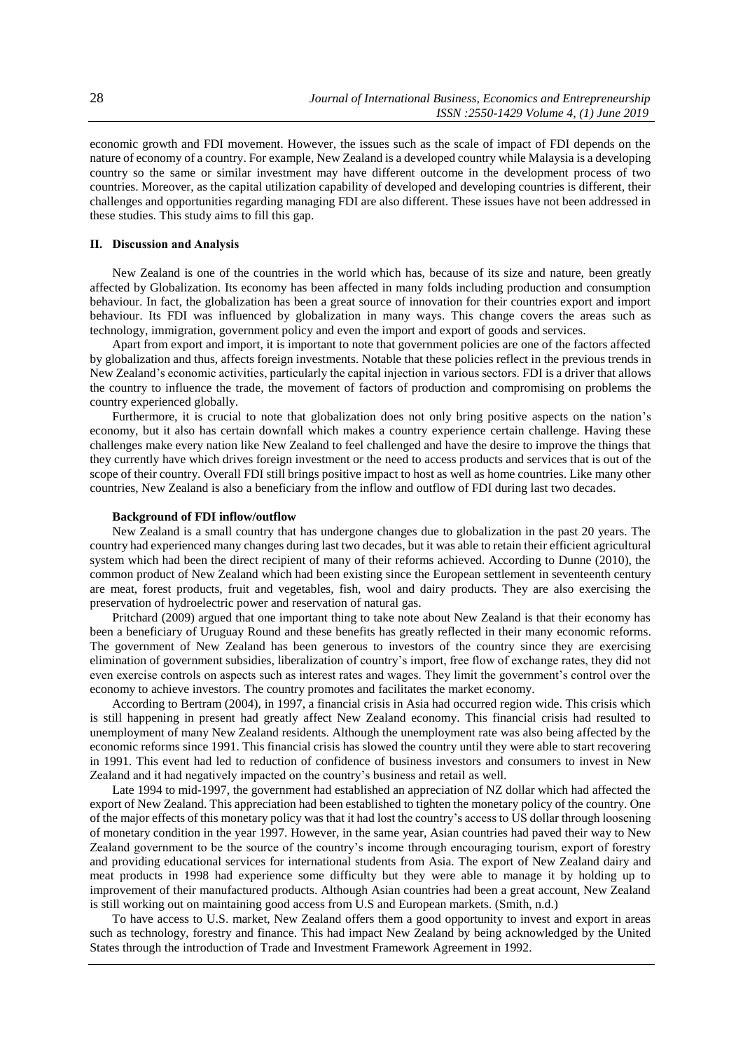economic growth and FDI movement. However, the issues such as the scale of impact of FDI depends on the nature of economy of a country. For example, New Zealand is a developed country while Malaysia is a developing country so the same or similar investment may have different outcome in the development process of two countries. Moreover, as the capital utilization capability of developed and developing countries is different, their challenges and opportunities regarding managing FDI are also different. These issues have not been addressed in these studies. This study aims to fill this gap.

## **II. Discussion and Analysis**

New Zealand is one of the countries in the world which has, because of its size and nature, been greatly affected by Globalization. Its economy has been affected in many folds including production and consumption behaviour. In fact, the globalization has been a great source of innovation for their countries export and import behaviour. Its FDI was influenced by globalization in many ways. This change covers the areas such as technology, immigration, government policy and even the import and export of goods and services.

Apart from export and import, it is important to note that government policies are one of the factors affected by globalization and thus, affects foreign investments. Notable that these policies reflect in the previous trends in New Zealand's economic activities, particularly the capital injection in various sectors. FDI is a driver that allows the country to influence the trade, the movement of factors of production and compromising on problems the country experienced globally.

Furthermore, it is crucial to note that globalization does not only bring positive aspects on the nation's economy, but it also has certain downfall which makes a country experience certain challenge. Having these challenges make every nation like New Zealand to feel challenged and have the desire to improve the things that they currently have which drives foreign investment or the need to access products and services that is out of the scope of their country. Overall FDI still brings positive impact to host as well as home countries. Like many other countries, New Zealand is also a beneficiary from the inflow and outflow of FDI during last two decades.

## **Background of FDI inflow/outflow**

New Zealand is a small country that has undergone changes due to globalization in the past 20 years. The country had experienced many changes during last two decades, but it was able to retain their efficient agricultural system which had been the direct recipient of many of their reforms achieved. According to Dunne (2010), the common product of New Zealand which had been existing since the European settlement in seventeenth century are meat, forest products, fruit and vegetables, fish, wool and dairy products. They are also exercising the preservation of hydroelectric power and reservation of natural gas.

Pritchard (2009) argued that one important thing to take note about New Zealand is that their economy has been a beneficiary of Uruguay Round and these benefits has greatly reflected in their many economic reforms. The government of New Zealand has been generous to investors of the country since they are exercising elimination of government subsidies, liberalization of country's import, free flow of exchange rates, they did not even exercise controls on aspects such as interest rates and wages. They limit the government's control over the economy to achieve investors. The country promotes and facilitates the market economy.

According to Bertram (2004), in 1997, a financial crisis in Asia had occurred region wide. This crisis which is still happening in present had greatly affect New Zealand economy. This financial crisis had resulted to unemployment of many New Zealand residents. Although the unemployment rate was also being affected by the economic reforms since 1991. This financial crisis has slowed the country until they were able to start recovering in 1991. This event had led to reduction of confidence of business investors and consumers to invest in New Zealand and it had negatively impacted on the country's business and retail as well.

Late 1994 to mid-1997, the government had established an appreciation of NZ dollar which had affected the export of New Zealand. This appreciation had been established to tighten the monetary policy of the country. One of the major effects of this monetary policy was that it had lost the country's access to US dollar through loosening of monetary condition in the year 1997. However, in the same year, Asian countries had paved their way to New Zealand government to be the source of the country's income through encouraging tourism, export of forestry and providing educational services for international students from Asia. The export of New Zealand dairy and meat products in 1998 had experience some difficulty but they were able to manage it by holding up to improvement of their manufactured products. Although Asian countries had been a great account, New Zealand is still working out on maintaining good access from U.S and European markets. (Smith, n.d.)

To have access to U.S. market, New Zealand offers them a good opportunity to invest and export in areas such as technology, forestry and finance. This had impact New Zealand by being acknowledged by the United States through the introduction of Trade and Investment Framework Agreement in 1992.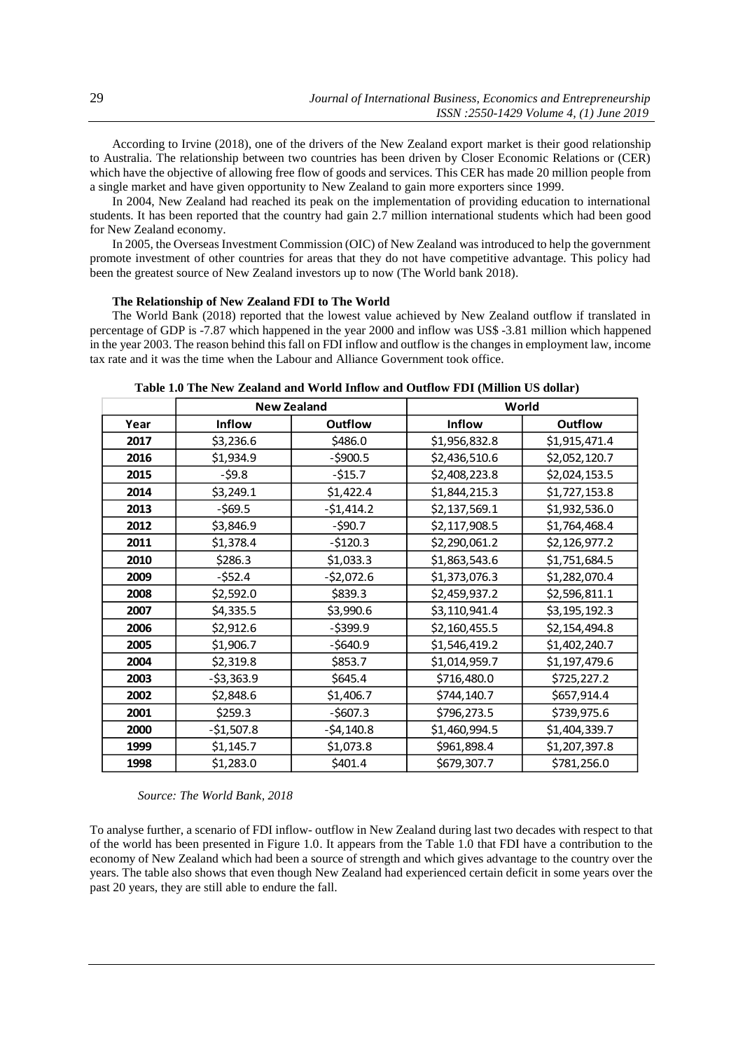According to Irvine (2018), one of the drivers of the New Zealand export market is their good relationship to Australia. The relationship between two countries has been driven by Closer Economic Relations or (CER) which have the objective of allowing free flow of goods and services. This CER has made 20 million people from a single market and have given opportunity to New Zealand to gain more exporters since 1999.

In 2004, New Zealand had reached its peak on the implementation of providing education to international students. It has been reported that the country had gain 2.7 million international students which had been good for New Zealand economy.

In 2005, the Overseas Investment Commission (OIC) of New Zealand was introduced to help the government promote investment of other countries for areas that they do not have competitive advantage. This policy had been the greatest source of New Zealand investors up to now (The World bank 2018).

## **The Relationship of New Zealand FDI to The World**

The World Bank (2018) reported that the lowest value achieved by New Zealand outflow if translated in percentage of GDP is -7.87 which happened in the year 2000 and inflow was US\$ -3.81 million which happened in the year 2003. The reason behind this fall on FDI inflow and outflow is the changes in employment law, income tax rate and it was the time when the Labour and Alliance Government took office.

|      | <b>New Zealand</b> |                | World         |                |
|------|--------------------|----------------|---------------|----------------|
| Year | <b>Inflow</b>      | <b>Outflow</b> | <b>Inflow</b> | <b>Outflow</b> |
| 2017 | \$3,236.6          | \$486.0        | \$1,956,832.8 | \$1,915,471.4  |
| 2016 | \$1,934.9          | $-5900.5$      | \$2,436,510.6 | \$2,052,120.7  |
| 2015 | $-59.8$            | $-$15.7$       | \$2,408,223.8 | \$2,024,153.5  |
| 2014 | \$3,249.1          | \$1,422.4      | \$1,844,215.3 | \$1,727,153.8  |
| 2013 | -\$69.5            | $-51,414.2$    | \$2,137,569.1 | \$1,932,536.0  |
| 2012 | \$3,846.9          | $-590.7$       | \$2,117,908.5 | \$1,764,468.4  |
| 2011 | \$1,378.4          | $-5120.3$      | \$2,290,061.2 | \$2,126,977.2  |
| 2010 | \$286.3            | \$1,033.3      | \$1,863,543.6 | \$1,751,684.5  |
| 2009 | $-552.4$           | $-52,072.6$    | \$1,373,076.3 | \$1,282,070.4  |
| 2008 | \$2,592.0          | \$839.3        | \$2,459,937.2 | \$2,596,811.1  |
| 2007 | \$4,335.5          | \$3,990.6      | \$3,110,941.4 | \$3,195,192.3  |
| 2006 | \$2,912.6          | $-$ \$399.9    | \$2,160,455.5 | \$2,154,494.8  |
| 2005 | \$1,906.7          | $-5640.9$      | \$1,546,419.2 | \$1,402,240.7  |
| 2004 | \$2,319.8          | \$853.7        | \$1,014,959.7 | \$1,197,479.6  |
| 2003 | $-53,363.9$        | \$645.4        | \$716,480.0   | \$725,227.2    |
| 2002 | \$2,848.6          | \$1,406.7      | \$744,140.7   | \$657,914.4    |
| 2001 | \$259.3            | $-5607.3$      | \$796,273.5   | \$739,975.6    |
| 2000 | -\$1,507.8         | $-54,140.8$    | \$1,460,994.5 | \$1,404,339.7  |
| 1999 | \$1,145.7          | \$1,073.8      | \$961,898.4   | \$1,207,397.8  |
| 1998 | \$1,283.0          | \$401.4        | \$679,307.7   | \$781,256.0    |

**Table 1.0 The New Zealand and World Inflow and Outflow FDI (Million US dollar)**

#### *Source: The World Bank, 2018*

To analyse further, a scenario of FDI inflow- outflow in New Zealand during last two decades with respect to that of the world has been presented in Figure 1.0. It appears from the Table 1.0 that FDI have a contribution to the economy of New Zealand which had been a source of strength and which gives advantage to the country over the years. The table also shows that even though New Zealand had experienced certain deficit in some years over the past 20 years, they are still able to endure the fall.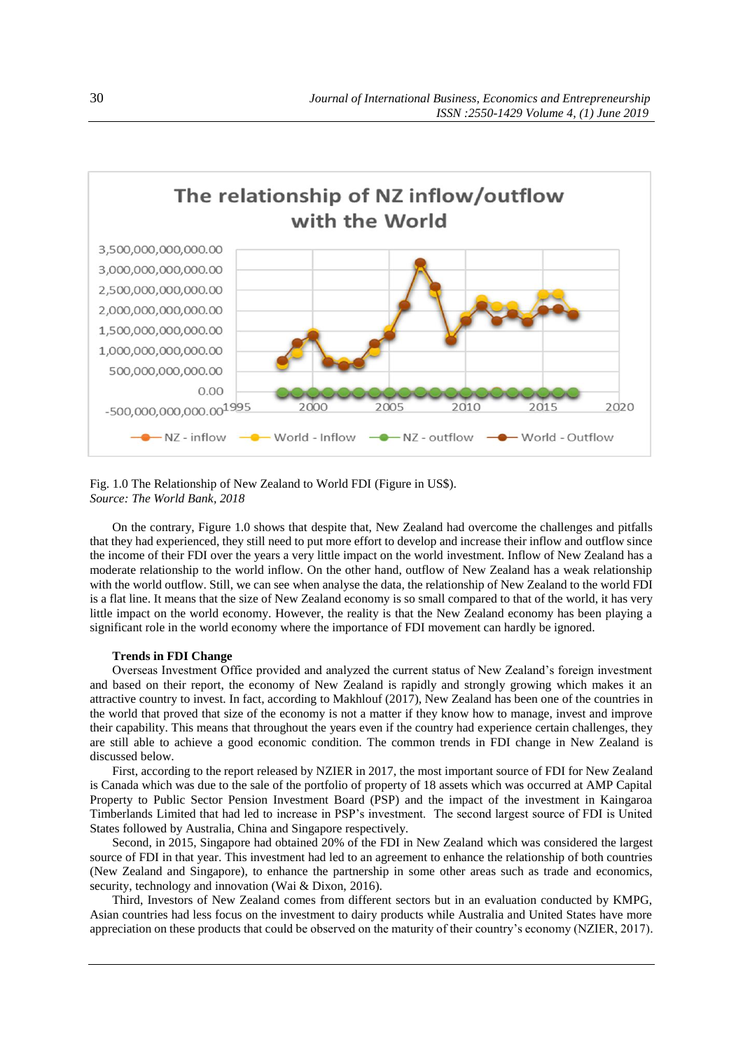

Fig. 1.0 The Relationship of New Zealand to World FDI (Figure in US\$). *Source: The World Bank, 2018*

On the contrary, Figure 1.0 shows that despite that, New Zealand had overcome the challenges and pitfalls that they had experienced, they still need to put more effort to develop and increase their inflow and outflow since the income of their FDI over the years a very little impact on the world investment. Inflow of New Zealand has a moderate relationship to the world inflow. On the other hand, outflow of New Zealand has a weak relationship with the world outflow. Still, we can see when analyse the data, the relationship of New Zealand to the world FDI is a flat line. It means that the size of New Zealand economy is so small compared to that of the world, it has very little impact on the world economy. However, the reality is that the New Zealand economy has been playing a significant role in the world economy where the importance of FDI movement can hardly be ignored.

# **Trends in FDI Change**

Overseas Investment Office provided and analyzed the current status of New Zealand's foreign investment and based on their report, the economy of New Zealand is rapidly and strongly growing which makes it an attractive country to invest. In fact, according to Makhlouf (2017), New Zealand has been one of the countries in the world that proved that size of the economy is not a matter if they know how to manage, invest and improve their capability. This means that throughout the years even if the country had experience certain challenges, they are still able to achieve a good economic condition. The common trends in FDI change in New Zealand is discussed below.

First, according to the report released by NZIER in 2017, the most important source of FDI for New Zealand is Canada which was due to the sale of the portfolio of property of 18 assets which was occurred at AMP Capital Property to Public Sector Pension Investment Board (PSP) and the impact of the investment in Kaingaroa Timberlands Limited that had led to increase in PSP's investment. The second largest source of FDI is United States followed by Australia, China and Singapore respectively.

Second, in 2015, Singapore had obtained 20% of the FDI in New Zealand which was considered the largest source of FDI in that year. This investment had led to an agreement to enhance the relationship of both countries (New Zealand and Singapore), to enhance the partnership in some other areas such as trade and economics, security, technology and innovation (Wai & Dixon, 2016).

Third, Investors of New Zealand comes from different sectors but in an evaluation conducted by KMPG, Asian countries had less focus on the investment to dairy products while Australia and United States have more appreciation on these products that could be observed on the maturity of their country's economy (NZIER, 2017).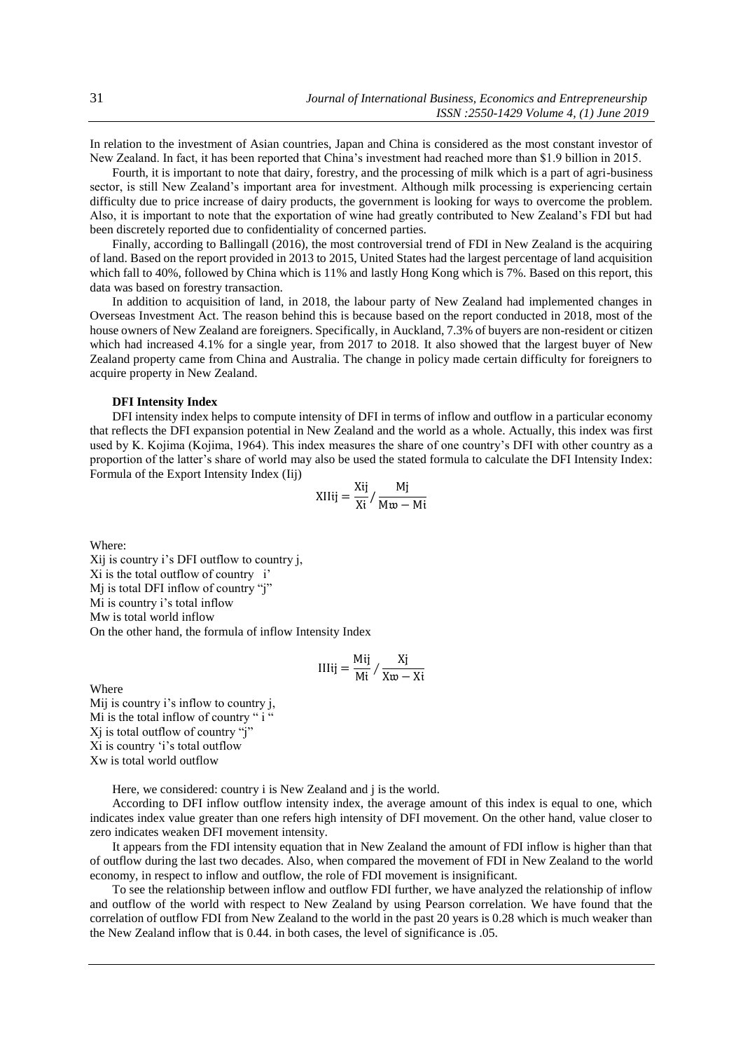In relation to the investment of Asian countries, Japan and China is considered as the most constant investor of New Zealand. In fact, it has been reported that China's investment had reached more than \$1.9 billion in 2015.

Fourth, it is important to note that dairy, forestry, and the processing of milk which is a part of agri-business sector, is still New Zealand's important area for investment. Although milk processing is experiencing certain difficulty due to price increase of dairy products, the government is looking for ways to overcome the problem. Also, it is important to note that the exportation of wine had greatly contributed to New Zealand's FDI but had been discretely reported due to confidentiality of concerned parties.

Finally, according to Ballingall (2016), the most controversial trend of FDI in New Zealand is the acquiring of land. Based on the report provided in 2013 to 2015, United States had the largest percentage of land acquisition which fall to 40%, followed by China which is 11% and lastly Hong Kong which is 7%. Based on this report, this data was based on forestry transaction.

In addition to acquisition of land, in 2018, the labour party of New Zealand had implemented changes in Overseas Investment Act. The reason behind this is because based on the report conducted in 2018, most of the house owners of New Zealand are foreigners. Specifically, in Auckland, 7.3% of buyers are non-resident or citizen which had increased 4.1% for a single year, from 2017 to 2018. It also showed that the largest buyer of New Zealand property came from China and Australia. The change in policy made certain difficulty for foreigners to acquire property in New Zealand.

## **DFI Intensity Index**

DFI intensity index helps to compute intensity of DFI in terms of inflow and outflow in a particular economy that reflects the DFI expansion potential in New Zealand and the world as a whole. Actually, this index was first used by K. Kojima (Kojima, 1964). This index measures the share of one country's DFI with other country as a proportion of the latter's share of world may also be used the stated formula to calculate the DFI Intensity Index: Formula of the Export Intensity Index (Iij)

$$
XIIij = \frac{Xij}{Xi} / \frac{Mj}{M\omega - Mi}
$$

Where:

Xij is country i's DFI outflow to country j, Xi is the total outflow of country i' Mj is total DFI inflow of country "j" Mi is country i's total inflow Mw is total world inflow On the other hand, the formula of inflow Intensity Index

$$
IIIij = \frac{Mij}{Mi} / \frac{Xj}{Xw - Xi}
$$

Where

Mij is country i's inflow to country j, Mi is the total inflow of country " i " Xj is total outflow of country "j" Xi is country 'i's total outflow Xw is total world outflow

Here, we considered: country i is New Zealand and j is the world.

According to DFI inflow outflow intensity index, the average amount of this index is equal to one, which indicates index value greater than one refers high intensity of DFI movement. On the other hand, value closer to zero indicates weaken DFI movement intensity.

It appears from the FDI intensity equation that in New Zealand the amount of FDI inflow is higher than that of outflow during the last two decades. Also, when compared the movement of FDI in New Zealand to the world economy, in respect to inflow and outflow, the role of FDI movement is insignificant.

To see the relationship between inflow and outflow FDI further, we have analyzed the relationship of inflow and outflow of the world with respect to New Zealand by using Pearson correlation. We have found that the correlation of outflow FDI from New Zealand to the world in the past 20 years is 0.28 which is much weaker than the New Zealand inflow that is 0.44. in both cases, the level of significance is .05.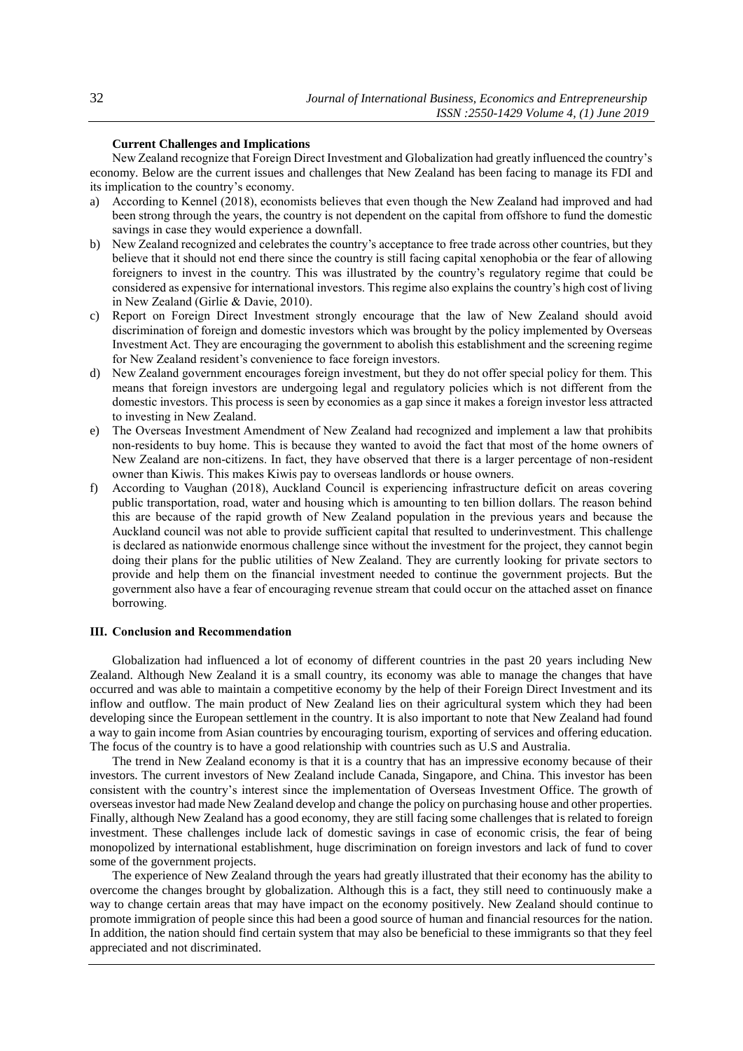## **Current Challenges and Implications**

New Zealand recognize that Foreign Direct Investment and Globalization had greatly influenced the country's economy. Below are the current issues and challenges that New Zealand has been facing to manage its FDI and its implication to the country's economy.

- a) According to Kennel (2018), economists believes that even though the New Zealand had improved and had been strong through the years, the country is not dependent on the capital from offshore to fund the domestic savings in case they would experience a downfall.
- b) New Zealand recognized and celebrates the country's acceptance to free trade across other countries, but they believe that it should not end there since the country is still facing capital xenophobia or the fear of allowing foreigners to invest in the country. This was illustrated by the country's regulatory regime that could be considered as expensive for international investors. This regime also explains the country's high cost of living in New Zealand (Girlie & Davie, 2010).
- c) Report on Foreign Direct Investment strongly encourage that the law of New Zealand should avoid discrimination of foreign and domestic investors which was brought by the policy implemented by Overseas Investment Act. They are encouraging the government to abolish this establishment and the screening regime for New Zealand resident's convenience to face foreign investors.
- d) New Zealand government encourages foreign investment, but they do not offer special policy for them. This means that foreign investors are undergoing legal and regulatory policies which is not different from the domestic investors. This process is seen by economies as a gap since it makes a foreign investor less attracted to investing in New Zealand.
- e) The Overseas Investment Amendment of New Zealand had recognized and implement a law that prohibits non-residents to buy home. This is because they wanted to avoid the fact that most of the home owners of New Zealand are non-citizens. In fact, they have observed that there is a larger percentage of non-resident owner than Kiwis. This makes Kiwis pay to overseas landlords or house owners.
- f) According to Vaughan (2018), Auckland Council is experiencing infrastructure deficit on areas covering public transportation, road, water and housing which is amounting to ten billion dollars. The reason behind this are because of the rapid growth of New Zealand population in the previous years and because the Auckland council was not able to provide sufficient capital that resulted to underinvestment. This challenge is declared as nationwide enormous challenge since without the investment for the project, they cannot begin doing their plans for the public utilities of New Zealand. They are currently looking for private sectors to provide and help them on the financial investment needed to continue the government projects. But the government also have a fear of encouraging revenue stream that could occur on the attached asset on finance borrowing.

#### **III. Conclusion and Recommendation**

Globalization had influenced a lot of economy of different countries in the past 20 years including New Zealand. Although New Zealand it is a small country, its economy was able to manage the changes that have occurred and was able to maintain a competitive economy by the help of their Foreign Direct Investment and its inflow and outflow. The main product of New Zealand lies on their agricultural system which they had been developing since the European settlement in the country. It is also important to note that New Zealand had found a way to gain income from Asian countries by encouraging tourism, exporting of services and offering education. The focus of the country is to have a good relationship with countries such as U.S and Australia.

The trend in New Zealand economy is that it is a country that has an impressive economy because of their investors. The current investors of New Zealand include Canada, Singapore, and China. This investor has been consistent with the country's interest since the implementation of Overseas Investment Office. The growth of overseas investor had made New Zealand develop and change the policy on purchasing house and other properties. Finally, although New Zealand has a good economy, they are still facing some challenges that is related to foreign investment. These challenges include lack of domestic savings in case of economic crisis, the fear of being monopolized by international establishment, huge discrimination on foreign investors and lack of fund to cover some of the government projects.

The experience of New Zealand through the years had greatly illustrated that their economy has the ability to overcome the changes brought by globalization. Although this is a fact, they still need to continuously make a way to change certain areas that may have impact on the economy positively. New Zealand should continue to promote immigration of people since this had been a good source of human and financial resources for the nation. In addition, the nation should find certain system that may also be beneficial to these immigrants so that they feel appreciated and not discriminated.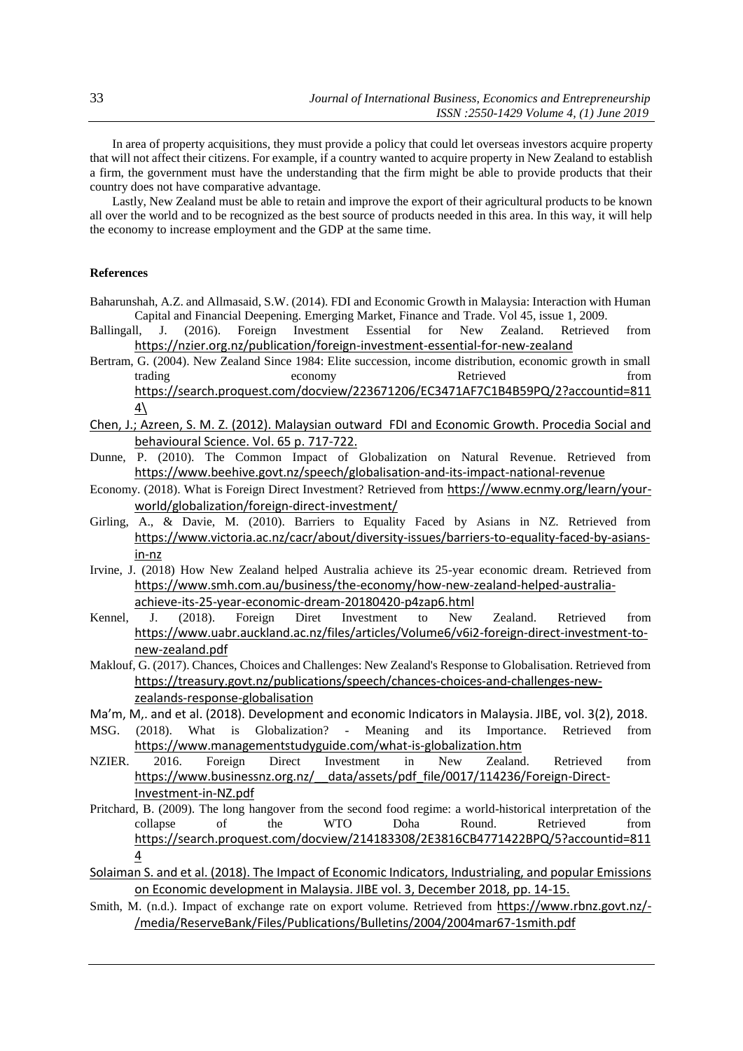In area of property acquisitions, they must provide a policy that could let overseas investors acquire property that will not affect their citizens. For example, if a country wanted to acquire property in New Zealand to establish a firm, the government must have the understanding that the firm might be able to provide products that their country does not have comparative advantage.

Lastly, New Zealand must be able to retain and improve the export of their agricultural products to be known all over the world and to be recognized as the best source of products needed in this area. In this way, it will help the economy to increase employment and the GDP at the same time.

# **References**

- Baharunshah, A.Z. and Allmasaid, S.W. (2014). FDI and Economic Growth in Malaysia: Interaction with Human Capital and Financial Deepening. Emerging Market, Finance and Trade. Vol 45, issue 1, 2009.<br>Ballingall. J. (2016). Foreign Investment Essential for New Zealand. Retrieved
- J. (2016). Foreign Investment Essential for New Zealand. Retrieved from <https://nzier.org.nz/publication/foreign-investment-essential-for-new-zealand>
- Bertram, G. (2004). New Zealand Since 1984: Elite succession, income distribution, economic growth in small trading economy Retrieved from trading economy Retrieved from from [https://search.proquest.com/docview/223671206/EC3471AF7C1B4B59PQ/2?accountid=811](https://search.proquest.com/docview/223671206/EC3471AF7C1B4B59PQ/2?accountid=8114/) [4\](https://search.proquest.com/docview/223671206/EC3471AF7C1B4B59PQ/2?accountid=8114/)
- Chen, J.; Azreen, S. M. Z. (2012). Malaysian outward FDI and Economic Growth. Procedia Social and behavioural Science. Vol. 65 p. 717-722.
- Dunne, P. (2010). The Common Impact of Globalization on Natural Revenue. Retrieved from <https://www.beehive.govt.nz/speech/globalisation-and-its-impact-national-revenue>
- Economy. (2018). What is Foreign Direct Investment? Retrieved from [https://www.ecnmy.org/learn/your](https://www.ecnmy.org/learn/your-world/globalization/foreign-direct-investment/)[world/globalization/foreign-direct-investment/](https://www.ecnmy.org/learn/your-world/globalization/foreign-direct-investment/)
- Girling, A., & Davie, M. (2010). Barriers to Equality Faced by Asians in NZ. Retrieved from [https://www.victoria.ac.nz/cacr/about/diversity-issues/barriers-to-equality-faced-by-asians](https://www.victoria.ac.nz/cacr/about/diversity-issues/barriers-to-equality-faced-by-asians-in-nz)[in-nz](https://www.victoria.ac.nz/cacr/about/diversity-issues/barriers-to-equality-faced-by-asians-in-nz)
- Irvine, J. (2018) How New Zealand helped Australia achieve its 25-year economic dream. Retrieved from [https://www.smh.com.au/business/the-economy/how-new-zealand-helped-australia](https://www.smh.com.au/business/the-economy/how-new-zealand-helped-australia-achieve-its-25-year-economic-dream-20180420-p4zap6.html)[achieve-its-25-year-economic-dream-20180420-p4zap6.html](https://www.smh.com.au/business/the-economy/how-new-zealand-helped-australia-achieve-its-25-year-economic-dream-20180420-p4zap6.html)<br>J. (2018). Foreign Diret Investment to New
- Kennel, J. (2018). Foreign Diret Investment to New Zealand. Retrieved from [https://www.uabr.auckland.ac.nz/files/articles/Volume6/v6i2-foreign-direct-investment-to](https://www.uabr.auckland.ac.nz/files/articles/Volume6/v6i2-foreign-direct-investment-to-new-zealand.pdf)[new-zealand.pdf](https://www.uabr.auckland.ac.nz/files/articles/Volume6/v6i2-foreign-direct-investment-to-new-zealand.pdf)
- Maklouf, G. (2017). Chances, Choices and Challenges: New Zealand's Response to Globalisation. Retrieved from [https://treasury.govt.nz/publications/speech/chances-choices-and-challenges-new](https://treasury.govt.nz/publications/speech/chances-choices-and-challenges-new-zealands-response-globalisation)[zealands-response-globalisation](https://treasury.govt.nz/publications/speech/chances-choices-and-challenges-new-zealands-response-globalisation)
- Ma'm, M,. and et al. (2018). Development and economic Indicators in Malaysia. JIBE, vol. 3(2), 2018.
- MSG. (2018). What is Globalization? Meaning and its Importance. Retrieved from <https://www.managementstudyguide.com/what-is-globalization.htm>
- NZIER. 2016. Foreign Direct Investment in New Zealand. Retrieved from [https://www.businessnz.org.nz/\\_\\_data/assets/pdf\\_file/0017/114236/Foreign-Direct-](https://www.businessnz.org.nz/__data/assets/pdf_file/0017/114236/Foreign-Direct-Investment-in-NZ.pdf)[Investment-in-NZ.pdf](https://www.businessnz.org.nz/__data/assets/pdf_file/0017/114236/Foreign-Direct-Investment-in-NZ.pdf)
- Pritchard, B. (2009). The long hangover from the second food regime: a world-historical interpretation of the collapse of the WTO Doha Round. Retrieved from [https://search.proquest.com/docview/214183308/2E3816CB4771422BPQ/5?accountid=811](https://search.proquest.com/docview/214183308/2E3816CB4771422BPQ/5?accountid=8114) [4](https://search.proquest.com/docview/214183308/2E3816CB4771422BPQ/5?accountid=8114)
- Solaiman S. and et al. (2018). The Impact of Economic Indicators, Industrialing, and popular Emissions on Economic development in Malaysia. JIBE vol. 3, December 2018, pp. 14-15.
- Smith, M. (n.d.). Impact of exchange rate on export volume. Retrieved from [https://www.rbnz.govt.nz/-](https://www.rbnz.govt.nz/-/media/ReserveBank/Files/Publications/Bulletins/2004/2004mar67-1smith.pdf) [/media/ReserveBank/Files/Publications/Bulletins/2004/2004mar67-1smith.pdf](https://www.rbnz.govt.nz/-/media/ReserveBank/Files/Publications/Bulletins/2004/2004mar67-1smith.pdf)